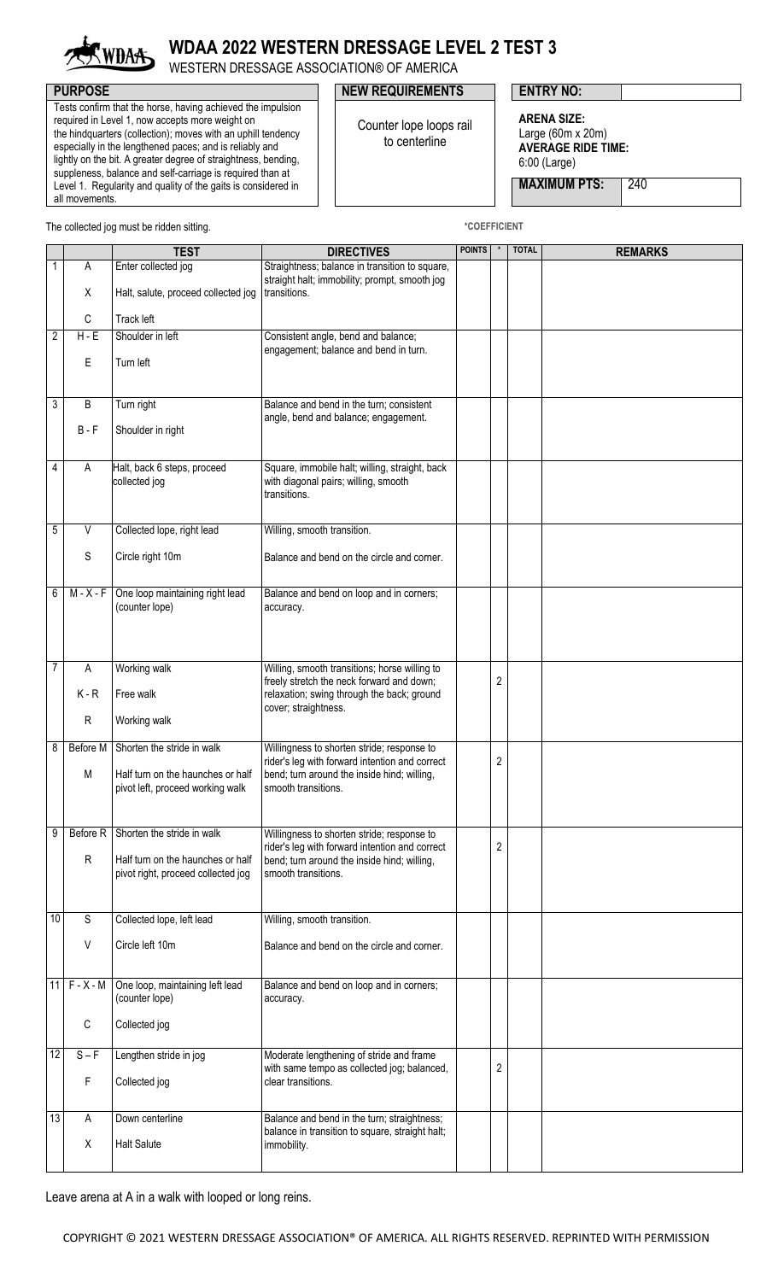

## **WDAA 2022 WESTERN DRESSAGE LEVEL 2 TEST 3**

WESTERN DRESSAGE ASSOCIATION® OF AMERICA

Tests confirm that the horse, having achieved the impulsion required in Level 1, now accepts more weight on the hindquarters (collection); moves with an uphill tendency especially in the lengthened paces; and is reliably and lightly on the bit. A greater degree of straightness, bending, suppleness, balance and self-carriage is required than at Level 1. Regularity and quality of the gaits is considered in all movements.

## **PURPOSE PURPOSE PURPOSE NEW REQUIREMENTS ENTRY NO:**

Counter lope loops rail to centerline

**ARENA SIZE:** Large (60m x 20m)

**AVERAGE RIDE TIME:** 6:00 (Large)

**MAXIMUM PTS: 240** 

The collected jog must be ridden sitting. **All and Structure of the COEFFICIENT** \*COEFFICIENT

|                 |               | <b>TEST</b>                                                                                                    | <b>DIRECTIVES</b>                                                                                                                                                  | <b>POINTS</b> |   | <b>TOTAL</b> | <b>REMARKS</b> |
|-----------------|---------------|----------------------------------------------------------------------------------------------------------------|--------------------------------------------------------------------------------------------------------------------------------------------------------------------|---------------|---|--------------|----------------|
| 1               | Α             | Enter collected jog                                                                                            | Straightness; balance in transition to square,                                                                                                                     |               |   |              |                |
|                 | X             | Halt, salute, proceed collected jog                                                                            | straight halt; immobility; prompt, smooth jog<br>transitions.                                                                                                      |               |   |              |                |
|                 | C             | Track left                                                                                                     |                                                                                                                                                                    |               |   |              |                |
| $\overline{2}$  | $H - E$       | Shoulder in left                                                                                               | Consistent angle, bend and balance;                                                                                                                                |               |   |              |                |
|                 | E             | Turn left                                                                                                      | engagement; balance and bend in turn.                                                                                                                              |               |   |              |                |
| 3               | B             | Turn right                                                                                                     | Balance and bend in the turn; consistent                                                                                                                           |               |   |              |                |
|                 | $B - F$       | Shoulder in right                                                                                              | angle, bend and balance; engagement.                                                                                                                               |               |   |              |                |
| 4               | A             | Halt, back 6 steps, proceed<br>collected jog                                                                   | Square, immobile halt; willing, straight, back<br>with diagonal pairs; willing, smooth<br>transitions.                                                             |               |   |              |                |
| $\mathbf 5$     | V             | Collected lope, right lead                                                                                     | Willing, smooth transition.                                                                                                                                        |               |   |              |                |
|                 | S             | Circle right 10m                                                                                               | Balance and bend on the circle and corner.                                                                                                                         |               |   |              |                |
| 6               | $M - X - F$   | One loop maintaining right lead<br>(counter lope)                                                              | Balance and bend on loop and in corners;<br>accuracy.                                                                                                              |               |   |              |                |
| $\overline{7}$  | Α             | Working walk                                                                                                   | Willing, smooth transitions; horse willing to                                                                                                                      |               |   |              |                |
|                 | $K - R$       | Free walk                                                                                                      | freely stretch the neck forward and down;<br>relaxation; swing through the back; ground                                                                            |               | 2 |              |                |
|                 | ${\sf R}$     | Working walk                                                                                                   | cover; straightness.                                                                                                                                               |               |   |              |                |
| 8               | Before M<br>M | Shorten the stride in walk<br>Half turn on the haunches or half                                                | Willingness to shorten stride; response to<br>rider's leg with forward intention and correct<br>bend; turn around the inside hind; willing,                        |               | 2 |              |                |
|                 |               | pivot left, proceed working walk                                                                               | smooth transitions.                                                                                                                                                |               |   |              |                |
| 9               | $\mathsf{R}$  | Before R Shorten the stride in walk<br>Half turn on the haunches or half<br>pivot right, proceed collected jog | Willingness to shorten stride; response to<br>rider's leg with forward intention and correct<br>bend; turn around the inside hind; willing,<br>smooth transitions. |               | 2 |              |                |
| $\overline{10}$ | $\mathsf S$   | Collected lope, left lead                                                                                      | Willing, smooth transition.                                                                                                                                        |               |   |              |                |
|                 | V             | Circle left 10m                                                                                                | Balance and bend on the circle and corner.                                                                                                                         |               |   |              |                |
| 11              | $F - X - M$   | One loop, maintaining left lead<br>(counter lope)                                                              | Balance and bend on loop and in corners;<br>accuracy.                                                                                                              |               |   |              |                |
|                 | С             | Collected jog                                                                                                  |                                                                                                                                                                    |               |   |              |                |
| 12              | $S - F$       | Lengthen stride in jog                                                                                         | Moderate lengthening of stride and frame                                                                                                                           |               |   |              |                |
|                 | F             | Collected jog                                                                                                  | with same tempo as collected jog; balanced,<br>clear transitions.                                                                                                  |               | 2 |              |                |
| $\overline{3}$  | Α             | Down centerline                                                                                                | Balance and bend in the turn; straightness;                                                                                                                        |               |   |              |                |
|                 | X             | <b>Halt Salute</b>                                                                                             | balance in transition to square, straight halt;<br>immobility.                                                                                                     |               |   |              |                |
|                 |               |                                                                                                                |                                                                                                                                                                    |               |   |              |                |

Leave arena at A in a walk with looped or long reins.